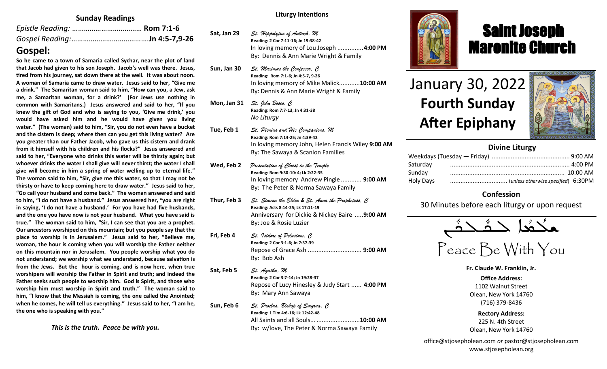#### **Sunday Readings**

**Gospel:** 

**So he came to a town of Samaria called Sychar, near the plot of land that Jacob had given to his son Joseph. Jacob's well was there. Jesus, tired from his journey, sat down there at the well. It was about noon. A woman of Samaria came to draw water. Jesus said to her, "Give me a drink." The Samaritan woman said to him, "How can you, a Jew, ask me, a Samaritan woman, for a drink?' (For Jews use nothing in common with Samaritans.) Jesus answered and said to her, "If you knew the gift of God and who is saying to you, 'Give me drink,' you would have asked him and he would have given you living water." (The woman) said to him, "Sir, you do not even have a bucket and the cistern is deep; where then can you get this living water? Are you greater than our Father Jacob, who gave us this cistern and drank from it himself with his children and his flocks?" Jesus answered and said to her, "Everyone who drinks this water will be thirsty again; but whoever drinks the water I shall give will never thirst; the water I shall give will become in him a spring of water welling up to eternal life." The woman said to him, "Sir, give me this water, so that I may not be thirsty or have to keep coming here to draw water." Jesus said to her, "Go call your husband and come back." The woman answered and said to him, "I do not have a husband." Jesus answered her, "you are right in saying, 'I do not have a husband.' For you have had five husbands, and the one you have now is not your husband. What you have said is true." The woman said to him, "Sir, I can see that you are a prophet. Our ancestors worshiped on this mountain; but you people say that the place to worship is in Jerusalem." Jesus said to her, "Believe me, woman, the hour is coming when you will worship the Father neither on this mountain nor in Jerusalem. You people worship what you do not understand; we worship what we understand, because salvation is from the Jews. But the hour is coming, and is now here, when true worshipers will worship the Father in Spirit and truth; and indeed the Father seeks such people to worship him. God is Spirit, and those who worship him must worship in Spirit and truth." The woman said to him, "I know that the Messiah is coming, the one called the Anointed; when he comes, he will tell us everything." Jesus said to her, "I am he, the one who is speaking with you."**

*This is the truth. Peace be with you.*

#### **Liturgy Intentions**

- **Sat, Jan 29** *St. Hippolytus of Antioch, M* **Reading: 2 Cor 7:11-16; Jn 19:38-42** In loving memory of Lou Joseph ...............**4:00 PM** By: Dennis & Ann Marie Wright & Family
- **Sun, Jan 30** *St. Maximus the Confessor, C* **Reading: Rom 7:1-6; Jn 4:5-7, 9-26** In loving memory of Mike Malick............**10:00 AM** By: Dennis & Ann Marie Wright & Family
- **Mon, Jan 31** *St. John Bosco, C* **Reading: Rom 7:7-13; Jn 4:31-38** *No Liturgy*
- **Tue, Feb 1** *St. Pionius and His Companions, M* **Reading: Rom 7:14-25; Jn 4:39-42** In loving memory John, Helen Francis Wiley **9:00 AM** By: The Sawaya & Scanlon Families
- **Wed, Feb 2** *Presentation of Christ in the Temple* **Reading: Rom 9:30-10: 4; Lk 2:22-35** In loving memory Andrew Pingie ............ **9:00 AM** By: The Peter & Norma Sawaya Family
- **Thur, Feb 3** *St. Simeon the Elder & St. Anna the Prophetess, C* **Reading: Acts 8:14-25; Lk 17:11-19** Anniversary for Dickie & Nickey Baire .....**9:00 AM**  By: Joe & Rosie Luzier
- **Fri, Feb 4** *St. Isidore of Pelusium, C* **Reading: 2 Cor 3:1-6; Jn 7:37-39** Repose of Grace Ash ............................... **9:00 AM** By: Bob Ash
- **Sat, Feb 5** *St. Agatha, M* **Reading: 2 Cor 3:7-14; Jn 19:28-37** Repose of Lucy Hinesley & Judy Start ...... **4:00 PM** By: Mary Ann Sawaya
- **Sun, Feb 6** *St. Proclus, Bishop of Smyrna, C* **Reading: 1 Tim 4:6-16; Lk 12:42-48** All Saints and all Souls... .........................**10:00 AM** By: w/love, The Peter & Norma Sawaya Family



# Saint Joseph Maronite Church

# January 30, 2022 **Fourth Sunday After Epiphany**

ī



## **Divine Liturgy**

| Saturday  |  |
|-----------|--|
| Sunday    |  |
| Holy Days |  |

## **Confession**

30 Minutes before each liturgy or upon request

مَكْشُل حَثَّكُثُمْ مِنْهُمْ مِنْ  $\frac{1}{2}$ ∡<br>∧  $\frac{1}{\epsilon}$  $\frac{1}{\sqrt{2}}$ 

Peace Be With You

**Fr. Claude W. Franklin, Jr.**

**Office Address:** 1102 Walnut Street Olean, New York 14760 (716) 379-8436

**Rectory Address:** 225 N. 4th Street Olean, New York 14760

office@stjosepholean.com *or* pastor@stjosepholean.com www.stjosepholean.org